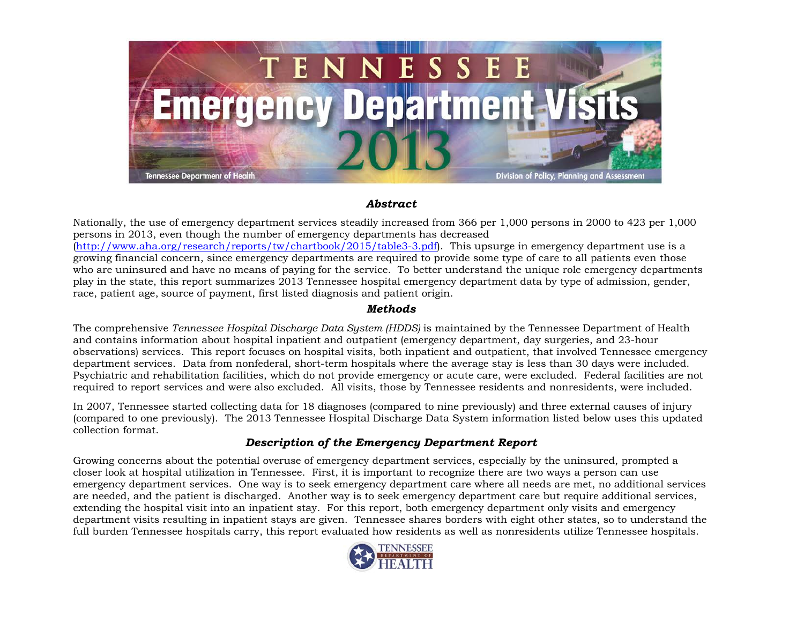

#### *Abstract*

Nationally, the use of emergency department services steadily increased from 366 per 1,000 persons in 2000 to 423 per 1,000 persons in 2013, even though the number of emergency departments has decreased [\(http://www.aha.org/research/reports/tw/chartbook/2015/table3-3.pdf\)](http://www.aha.org/research/reports/tw/chartbook/2015/table3-3.pdf). This upsurge in emergency department use is a growing financial concern, since emergency departments are required to provide some type of care to all patients even those who are uninsured and have no means of paying for the service. To better understand the unique role emergency departments play in the state, this report summarizes 2013 Tennessee hospital emergency department data by type of admission, gender, race, patient age, source of payment, first listed diagnosis and patient origin.

### *Methods*

The comprehensive *Tennessee Hospital Discharge Data System (HDDS)* is maintained by the Tennessee Department of Health and contains information about hospital inpatient and outpatient (emergency department, day surgeries, and 23-hour observations) services. This report focuses on hospital visits, both inpatient and outpatient, that involved Tennessee emergency department services. Data from nonfederal, short-term hospitals where the average stay is less than 30 days were included. Psychiatric and rehabilitation facilities, which do not provide emergency or acute care, were excluded. Federal facilities are not required to report services and were also excluded. All visits, those by Tennessee residents and nonresidents, were included.

In 2007, Tennessee started collecting data for 18 diagnoses (compared to nine previously) and three external causes of injury (compared to one previously). The 2013 Tennessee Hospital Discharge Data System information listed below uses this updated collection format.

# *Description of the Emergency Department Report*

Growing concerns about the potential overuse of emergency department services, especially by the uninsured, prompted a closer look at hospital utilization in Tennessee. First, it is important to recognize there are two ways a person can use emergency department services. One way is to seek emergency department care where all needs are met, no additional services are needed, and the patient is discharged. Another way is to seek emergency department care but require additional services, extending the hospital visit into an inpatient stay. For this report, both emergency department only visits and emergency department visits resulting in inpatient stays are given. Tennessee shares borders with eight other states, so to understand the full burden Tennessee hospitals carry, this report evaluated how residents as well as nonresidents utilize Tennessee hospitals.